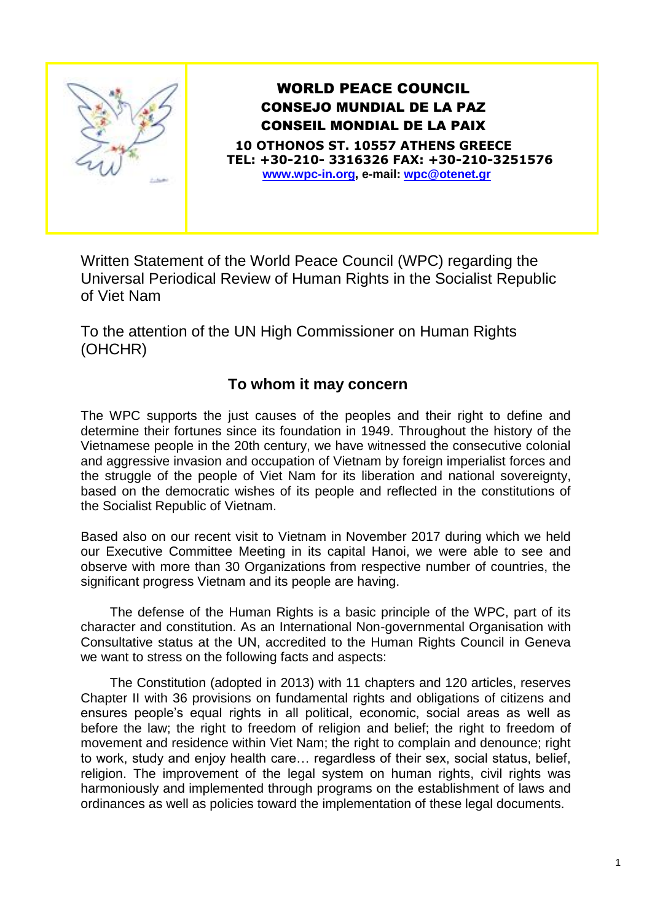

## WORLD PEACE COUNCIL CONSEJO MUNDIAL DE LA PAZ CONSEIL MONDIAL DE LA PAIX

**10 OTHONOS ST. 10557 ATHENS GREECE TEL: +30-210- 3316326 FAX: +30-210-3251576 [www.wpc-in.org,](http://www.wpc-in.org/) e-mail: [wpc@otenet.gr](mailto:wpc@otenet.gr)**

Written Statement of the World Peace Council (WPC) regarding the Universal Periodical Review of Human Rights in the Socialist Republic of Viet Nam

To the attention of the UN High Commissioner on Human Rights (OHCHR)

## **To whom it may concern**

The WPC supports the just causes of the peoples and their right to define and determine their fortunes since its foundation in 1949. Throughout the history of the Vietnamese people in the 20th century, we have witnessed the consecutive colonial and aggressive invasion and occupation of Vietnam by foreign imperialist forces and the struggle of the people of Viet Nam for its liberation and national sovereignty, based on the democratic wishes of its people and reflected in the constitutions of the Sοcialist Republic of Vietnam.

Based also on our recent visit to Vietnam in November 2017 during which we held our Executive Committee Meeting in its capital Hanoi, we were able to see and observe with more than 30 Organizations from respective number of countries, the significant progress Vietnam and its people are having.

The defense of the Human Rights is a basic principle of the WPC, part of its character and constitution. As an International Non-governmental Organisation with Consultative status at the UN, accredited to the Human Rights Council in Geneva we want to stress on the following facts and aspects:

The Constitution (adopted in 2013) with 11 chapters and 120 articles, reserves Chapter II with 36 provisions on fundamental rights and obligations of citizens and ensures people's equal rights in all political, economic, social areas as well as before the law; the right to freedom of religion and belief; the right to freedom of movement and residence within Viet Nam; the right to complain and denounce; right to work, study and enjoy health care… regardless of their sex, social status, belief, religion. The improvement of the legal system on human rights, civil rights was harmoniously and implemented through programs on the establishment of laws and ordinances as well as policies toward the implementation of these legal documents.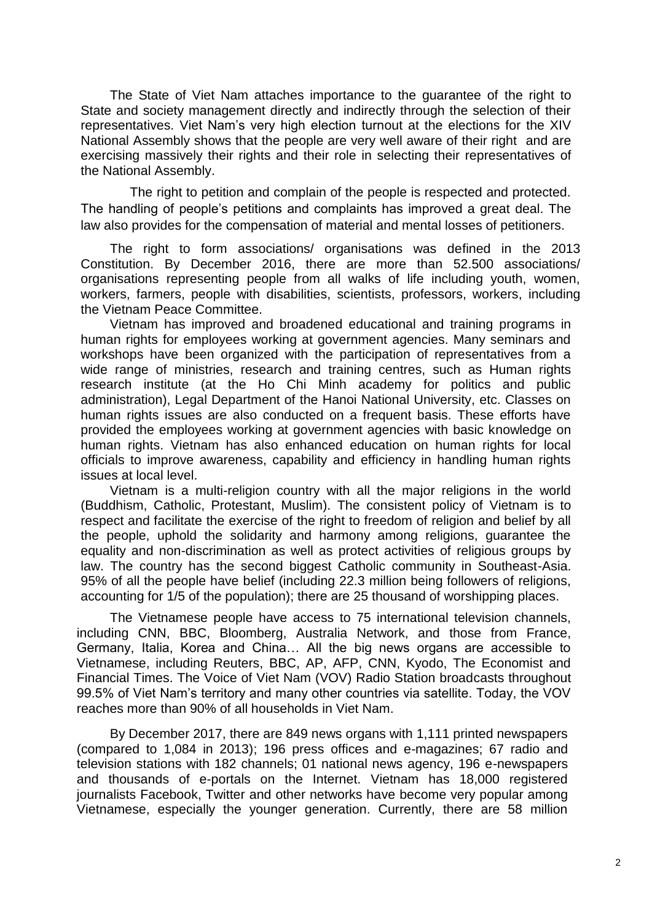The State of Viet Nam attaches importance to the guarantee of the right to State and society management directly and indirectly through the selection of their representatives. Viet Nam's very high election turnout at the elections for the XIV National Assembly shows that the people are very well aware of their right and are exercising massively their rights and their role in selecting their representatives of the National Assembly.

The right to petition and complain of the people is respected and protected. The handling of people's petitions and complaints has improved a great deal. The law also provides for the compensation of material and mental losses of petitioners.

The right to form associations/ organisations was defined in the 2013 Constitution. By December 2016, there are more than 52.500 associations/ organisations representing people from all walks of life including youth, women, workers, farmers, people with disabilities, scientists, professors, workers, including the Vietnam Peace Committee.

Vietnam has improved and broadened educational and training programs in human rights for employees working at government agencies. Many seminars and workshops have been organized with the participation of representatives from a wide range of ministries, research and training centres, such as Human rights research institute (at the Ho Chi Minh academy for politics and public administration), Legal Department of the Hanoi National University, etc. Classes on human rights issues are also conducted on a frequent basis. These efforts have provided the employees working at government agencies with basic knowledge on human rights. Vietnam has also enhanced education on human rights for local officials to improve awareness, capability and efficiency in handling human rights issues at local level.

Vietnam is a multi-religion country with all the major religions in the world (Buddhism, Catholic, Protestant, Muslim). The consistent policy of Vietnam is to respect and facilitate the exercise of the right to freedom of religion and belief by all the people, uphold the solidarity and harmony among religions, guarantee the equality and non-discrimination as well as protect activities of religious groups by law. The country has the second biggest Catholic community in Southeast-Asia. 95% of all the people have belief (including 22.3 million being followers of religions, accounting for 1/5 of the population); there are 25 thousand of worshipping places.

The Vietnamese people have access to 75 international television channels, including CNN, BBC, Bloomberg, Australia Network, and those from France, Germany, Italia, Korea and China… All the big news organs are accessible to Vietnamese, including Reuters, BBC, AP, AFP, CNN, Kyodo, The Economist and Financial Times. The Voice of Viet Nam (VOV) Radio Station broadcasts throughout 99.5% of Viet Nam's territory and many other countries via satellite. Today, the VOV reaches more than 90% of all households in Viet Nam.

By December 2017, there are 849 news organs with 1,111 printed newspapers (compared to 1,084 in 2013); 196 press offices and e-magazines; 67 radio and television stations with 182 channels; 01 national news agency, 196 e-newspapers and thousands of e-portals on the Internet. Vietnam has 18,000 registered journalists Facebook, Twitter and other networks have become very popular among Vietnamese, especially the younger generation. Currently, there are 58 million